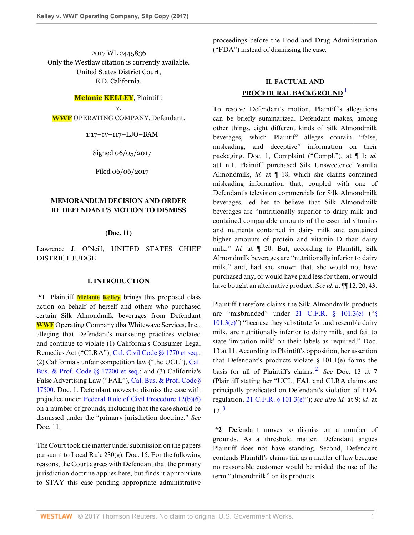2017 WL 2445836 Only the Westlaw citation is currently available. United States District Court, E.D. California.

## **Melanie KELLEY**, Plaintiff,

v.

**WWF** OPERATING COMPANY, Defendant.

1:17–cv–117–LJO–BAM | Signed 06/05/2017 | Filed 06/06/2017

## **MEMORANDUM DECISION AND ORDER RE DEFENDANT'S MOTION TO DISMISS**

## **(Doc. 11)**

Lawrence J. O'Neill, UNITED STATES CHIEF DISTRICT JUDGE

### **I. INTRODUCTION**

**\*1** Plaintiff **Melanie Kelley** brings this proposed class action on behalf of herself and others who purchased certain Silk Almondmilk beverages from Defendant **WWF** Operating Company dba Whitewave Services, Inc., alleging that Defendant's marketing practices violated and continue to violate (1) California's Consumer Legal Remedies Act ("CLRA"), [Cal. Civil Code §§ 1770 et seq.](http://www.westlaw.com/Link/Document/FullText?findType=L&pubNum=1000200&cite=CACIS1770&originatingDoc=Iaf87b0704b7d11e794a1f7ff5c621124&refType=LQ&originationContext=document&vr=3.0&rs=cblt1.0&transitionType=DocumentItem&contextData=(sc.Search)); (2) California's unfair competition law ("the UCL"), [Cal.](http://www.westlaw.com/Link/Document/FullText?findType=L&pubNum=1000199&cite=CABPS17200&originatingDoc=Iaf87b0704b7d11e794a1f7ff5c621124&refType=LQ&originationContext=document&vr=3.0&rs=cblt1.0&transitionType=DocumentItem&contextData=(sc.Search)) [Bus. & Prof. Code §§ 17200 et seq.;](http://www.westlaw.com/Link/Document/FullText?findType=L&pubNum=1000199&cite=CABPS17200&originatingDoc=Iaf87b0704b7d11e794a1f7ff5c621124&refType=LQ&originationContext=document&vr=3.0&rs=cblt1.0&transitionType=DocumentItem&contextData=(sc.Search)) and (3) California's False Advertising Law ("FAL"), [Cal. Bus. & Prof. Code §](http://www.westlaw.com/Link/Document/FullText?findType=L&pubNum=1000199&cite=CABPS17500&originatingDoc=Iaf87b0704b7d11e794a1f7ff5c621124&refType=LQ&originationContext=document&vr=3.0&rs=cblt1.0&transitionType=DocumentItem&contextData=(sc.Search)) [17500](http://www.westlaw.com/Link/Document/FullText?findType=L&pubNum=1000199&cite=CABPS17500&originatingDoc=Iaf87b0704b7d11e794a1f7ff5c621124&refType=LQ&originationContext=document&vr=3.0&rs=cblt1.0&transitionType=DocumentItem&contextData=(sc.Search)). Doc. 1. Defendant moves to dismiss the case with prejudice under [Federal Rule of Civil Procedure 12\(b\)\(6\)](http://www.westlaw.com/Link/Document/FullText?findType=L&pubNum=1000600&cite=USFRCPR12&originatingDoc=Iaf87b0704b7d11e794a1f7ff5c621124&refType=LQ&originationContext=document&vr=3.0&rs=cblt1.0&transitionType=DocumentItem&contextData=(sc.Search)) on a number of grounds, including that the case should be dismissed under the "primary jurisdiction doctrine." *See* Doc. 11.

The Court took the matter under submission on the papers pursuant to Local Rule 230(g). Doc. 15. For the following reasons, the Court agrees with Defendant that the primary jurisdiction doctrine applies here, but finds it appropriate to STAY this case pending appropriate administrative proceedings before the Food and Drug Administration ("FDA") instead of dismissing the case.

# <span id="page-0-0"></span>**II. FACTUAL AND PROCEDURAL BACKGROUND** [1](#page-5-0)

To resolve Defendant's motion, Plaintiff's allegations can be briefly summarized. Defendant makes, among other things, eight different kinds of Silk Almondmilk beverages, which Plaintiff alleges contain "false, misleading, and deceptive" information on their packaging. Doc. 1, Complaint ("Compl."), at ¶ 1; *id.* at1 n.1. Plaintiff purchased Silk Unsweetened Vanilla Almondmilk, *id.* at ¶ 18, which she claims contained misleading information that, coupled with one of Defendant's television commercials for Silk Almondmilk beverages, led her to believe that Silk Almondmilk beverages are "nutritionally superior to dairy milk and contained comparable amounts of the essential vitamins and nutrients contained in dairy milk and contained higher amounts of protein and vitamin D than dairy milk." *Id.* at ¶ 20. But, according to Plaintiff, Silk Almondmilk beverages are "nutritionally inferior to dairy milk," and, had she known that, she would not have purchased any, or would have paid less for them, or would have bought an alternative product. *See id.* at ¶¶ 12, 20, 43.

<span id="page-0-1"></span>Plaintiff therefore claims the Silk Almondmilk products are "misbranded" under [21 C.F.R. § 101.3\(e\)](http://www.westlaw.com/Link/Document/FullText?findType=L&pubNum=1000547&cite=21CFRS101.3&originatingDoc=Iaf87b0704b7d11e794a1f7ff5c621124&refType=LQ&originationContext=document&vr=3.0&rs=cblt1.0&transitionType=DocumentItem&contextData=(sc.Search)) (["§](http://www.westlaw.com/Link/Document/FullText?findType=L&pubNum=1000547&cite=21CFRS101.3&originatingDoc=Iaf87b0704b7d11e794a1f7ff5c621124&refType=SP&originationContext=document&vr=3.0&rs=cblt1.0&transitionType=DocumentItem&contextData=(sc.Search)#co_pp_7fdd00001ca15)  $101.3(e)$ " because they substitute for and resemble dairy milk, are nutritionally inferior to dairy milk, and fail to state 'imitation milk' on their labels as required." Doc. 13 at 11. According to Plaintiff's opposition, her assertion that Defendant's products violate  $\S$  101.1(e) forms the basis for all of Plaintiff's claims. [2](#page-5-1) *See* Doc. 13 at 7 (Plaintiff stating her "UCL, FAL and CLRA claims are principally predicated on Defendant's violation of FDA regulation, [21 C.F.R. § 101.3\(e\)"](http://www.westlaw.com/Link/Document/FullText?findType=L&pubNum=1000547&cite=21CFRS101.3&originatingDoc=Iaf87b0704b7d11e794a1f7ff5c621124&refType=LQ&originationContext=document&vr=3.0&rs=cblt1.0&transitionType=DocumentItem&contextData=(sc.Search))); *see also id.* at 9; *id.* at  $12^{3}$  $12^{3}$  $12^{3}$ 

<span id="page-0-2"></span>**\*2** Defendant moves to dismiss on a number of grounds. As a threshold matter, Defendant argues Plaintiff does not have standing. Second, Defendant contends Plaintiff's claims fail as a matter of law because no reasonable customer would be misled the use of the term "almondmilk" on its products.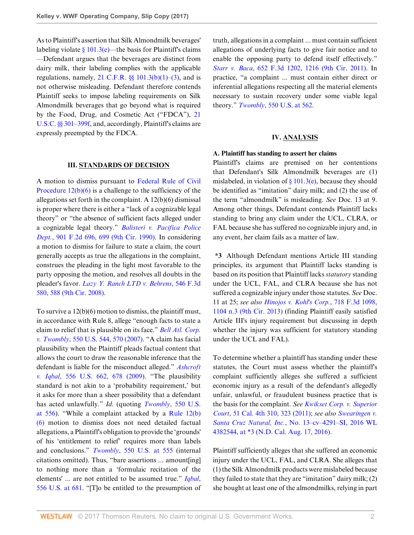As to Plaintiff's assertion that Silk Almondmilk beverages' labeling violate  $\frac{8}{101.3}$ (e)—the basis for Plaintiff's claims —Defendant argues that the beverages are distinct from dairy milk, their labeling complies with the applicable regulations, namely,  $21$  C.F.R.  $\S$   $101.3(b)(1)–(3)$ , and is not otherwise misleading. Defendant therefore contends Plaintiff seeks to impose labeling requirements on Silk Almondmilk beverages that go beyond what is required by the Food, Drug, and Cosmetic Act ("FDCA"), [21](http://www.westlaw.com/Link/Document/FullText?findType=L&pubNum=1000546&cite=21USCAS301&originatingDoc=Iaf87b0704b7d11e794a1f7ff5c621124&refType=LQ&originationContext=document&vr=3.0&rs=cblt1.0&transitionType=DocumentItem&contextData=(sc.Search)) [U.S.C. §§ 301–](http://www.westlaw.com/Link/Document/FullText?findType=L&pubNum=1000546&cite=21USCAS301&originatingDoc=Iaf87b0704b7d11e794a1f7ff5c621124&refType=LQ&originationContext=document&vr=3.0&rs=cblt1.0&transitionType=DocumentItem&contextData=(sc.Search))[399f](http://www.westlaw.com/Link/Document/FullText?findType=L&pubNum=1000546&cite=21USCAS399F&originatingDoc=Iaf87b0704b7d11e794a1f7ff5c621124&refType=LQ&originationContext=document&vr=3.0&rs=cblt1.0&transitionType=DocumentItem&contextData=(sc.Search)), and, accordingly, Plaintiff's claims are expressly preempted by the FDCA.

#### **III. STANDARDS OF DECISION**

A motion to dismiss pursuant to [Federal Rule of Civil](http://www.westlaw.com/Link/Document/FullText?findType=L&pubNum=1000600&cite=USFRCPR12&originatingDoc=Iaf87b0704b7d11e794a1f7ff5c621124&refType=LQ&originationContext=document&vr=3.0&rs=cblt1.0&transitionType=DocumentItem&contextData=(sc.Search)) Procedure  $12(b)(6)$  is a challenge to the sufficiency of the allegations set forth in the complaint. A 12(b)(6) dismissal is proper where there is either a "lack of a cognizable legal theory" or "the absence of sufficient facts alleged under a cognizable legal theory." *[Balisteri v. Pacifica Police](http://www.westlaw.com/Link/Document/FullText?findType=Y&serNum=1990078031&pubNum=0000350&originatingDoc=Iaf87b0704b7d11e794a1f7ff5c621124&refType=RP&fi=co_pp_sp_350_699&originationContext=document&vr=3.0&rs=cblt1.0&transitionType=DocumentItem&contextData=(sc.Search)#co_pp_sp_350_699) Dept.*[, 901 F.2d 696, 699 \(9th Cir. 1990\).](http://www.westlaw.com/Link/Document/FullText?findType=Y&serNum=1990078031&pubNum=0000350&originatingDoc=Iaf87b0704b7d11e794a1f7ff5c621124&refType=RP&fi=co_pp_sp_350_699&originationContext=document&vr=3.0&rs=cblt1.0&transitionType=DocumentItem&contextData=(sc.Search)#co_pp_sp_350_699) In considering a motion to dismiss for failure to state a claim, the court generally accepts as true the allegations in the complaint, construes the pleading in the light most favorable to the party opposing the motion, and resolves all doubts in the pleader's favor. *[Lazy Y. Ranch LTD v. Behrens](http://www.westlaw.com/Link/Document/FullText?findType=Y&serNum=2017147122&pubNum=0000506&originatingDoc=Iaf87b0704b7d11e794a1f7ff5c621124&refType=RP&fi=co_pp_sp_506_588&originationContext=document&vr=3.0&rs=cblt1.0&transitionType=DocumentItem&contextData=(sc.Search)#co_pp_sp_506_588)*, 546 F.3d [580, 588 \(9th Cir. 2008\).](http://www.westlaw.com/Link/Document/FullText?findType=Y&serNum=2017147122&pubNum=0000506&originatingDoc=Iaf87b0704b7d11e794a1f7ff5c621124&refType=RP&fi=co_pp_sp_506_588&originationContext=document&vr=3.0&rs=cblt1.0&transitionType=DocumentItem&contextData=(sc.Search)#co_pp_sp_506_588)

To survive a 12(b)(6) motion to dismiss, the plaintiff must, in accordance with Rule 8, allege "enough facts to state a claim to relief that is plausible on its face." *[Bell Atl. Corp.](http://www.westlaw.com/Link/Document/FullText?findType=Y&serNum=2012293296&pubNum=0000780&originatingDoc=Iaf87b0704b7d11e794a1f7ff5c621124&refType=RP&fi=co_pp_sp_780_570&originationContext=document&vr=3.0&rs=cblt1.0&transitionType=DocumentItem&contextData=(sc.Search)#co_pp_sp_780_570) v. Twombly*[, 550 U.S. 544, 570 \(2007\)](http://www.westlaw.com/Link/Document/FullText?findType=Y&serNum=2012293296&pubNum=0000780&originatingDoc=Iaf87b0704b7d11e794a1f7ff5c621124&refType=RP&fi=co_pp_sp_780_570&originationContext=document&vr=3.0&rs=cblt1.0&transitionType=DocumentItem&contextData=(sc.Search)#co_pp_sp_780_570). "A claim has facial plausibility when the Plaintiff pleads factual content that allows the court to draw the reasonable inference that the defendant is liable for the misconduct alleged." *[Ashcroft](http://www.westlaw.com/Link/Document/FullText?findType=Y&serNum=2018848474&pubNum=0000780&originatingDoc=Iaf87b0704b7d11e794a1f7ff5c621124&refType=RP&fi=co_pp_sp_780_678&originationContext=document&vr=3.0&rs=cblt1.0&transitionType=DocumentItem&contextData=(sc.Search)#co_pp_sp_780_678) v. Iqbal*[, 556 U.S. 662, 678 \(2009\).](http://www.westlaw.com/Link/Document/FullText?findType=Y&serNum=2018848474&pubNum=0000780&originatingDoc=Iaf87b0704b7d11e794a1f7ff5c621124&refType=RP&fi=co_pp_sp_780_678&originationContext=document&vr=3.0&rs=cblt1.0&transitionType=DocumentItem&contextData=(sc.Search)#co_pp_sp_780_678) "The plausibility standard is not akin to a 'probability requirement,' but it asks for more than a sheer possibility that a defendant has acted unlawfully." *Id*. (quoting *Twombly*[, 550 U.S.](http://www.westlaw.com/Link/Document/FullText?findType=Y&serNum=2012293296&pubNum=0000780&originatingDoc=Iaf87b0704b7d11e794a1f7ff5c621124&refType=RP&fi=co_pp_sp_780_556&originationContext=document&vr=3.0&rs=cblt1.0&transitionType=DocumentItem&contextData=(sc.Search)#co_pp_sp_780_556) [at 556\)](http://www.westlaw.com/Link/Document/FullText?findType=Y&serNum=2012293296&pubNum=0000780&originatingDoc=Iaf87b0704b7d11e794a1f7ff5c621124&refType=RP&fi=co_pp_sp_780_556&originationContext=document&vr=3.0&rs=cblt1.0&transitionType=DocumentItem&contextData=(sc.Search)#co_pp_sp_780_556). "While a complaint attacked by a [Rule 12\(b\)](http://www.westlaw.com/Link/Document/FullText?findType=L&pubNum=1000600&cite=USFRCPR12&originatingDoc=Iaf87b0704b7d11e794a1f7ff5c621124&refType=LQ&originationContext=document&vr=3.0&rs=cblt1.0&transitionType=DocumentItem&contextData=(sc.Search)) [\(6\)](http://www.westlaw.com/Link/Document/FullText?findType=L&pubNum=1000600&cite=USFRCPR12&originatingDoc=Iaf87b0704b7d11e794a1f7ff5c621124&refType=LQ&originationContext=document&vr=3.0&rs=cblt1.0&transitionType=DocumentItem&contextData=(sc.Search)) motion to dismiss does not need detailed factual allegations, a Plaintiff's obligation to provide the 'grounds' of his 'entitlement to relief' requires more than labels and conclusions." *Twombly*[, 550 U.S. at 555](http://www.westlaw.com/Link/Document/FullText?findType=Y&serNum=2012293296&pubNum=0000780&originatingDoc=Iaf87b0704b7d11e794a1f7ff5c621124&refType=RP&fi=co_pp_sp_780_555&originationContext=document&vr=3.0&rs=cblt1.0&transitionType=DocumentItem&contextData=(sc.Search)#co_pp_sp_780_555) (internal citations omitted). Thus, "bare assertions ... amount[ing] to nothing more than a 'formulaic recitation of the elements' ... are not entitled to be assumed true." *[Iqbal](http://www.westlaw.com/Link/Document/FullText?findType=Y&serNum=2018848474&pubNum=0000780&originatingDoc=Iaf87b0704b7d11e794a1f7ff5c621124&refType=RP&fi=co_pp_sp_780_681&originationContext=document&vr=3.0&rs=cblt1.0&transitionType=DocumentItem&contextData=(sc.Search)#co_pp_sp_780_681)*, [556 U.S. at 681.](http://www.westlaw.com/Link/Document/FullText?findType=Y&serNum=2018848474&pubNum=0000780&originatingDoc=Iaf87b0704b7d11e794a1f7ff5c621124&refType=RP&fi=co_pp_sp_780_681&originationContext=document&vr=3.0&rs=cblt1.0&transitionType=DocumentItem&contextData=(sc.Search)#co_pp_sp_780_681) "[T]o be entitled to the presumption of truth, allegations in a complaint ... must contain sufficient allegations of underlying facts to give fair notice and to enable the opposing party to defend itself effectively." *Starr v. Baca*[, 652 F.3d 1202, 1216 \(9th Cir. 2011\).](http://www.westlaw.com/Link/Document/FullText?findType=Y&serNum=2025767926&pubNum=0000506&originatingDoc=Iaf87b0704b7d11e794a1f7ff5c621124&refType=RP&fi=co_pp_sp_506_1216&originationContext=document&vr=3.0&rs=cblt1.0&transitionType=DocumentItem&contextData=(sc.Search)#co_pp_sp_506_1216) In practice, "a complaint ... must contain either direct or inferential allegations respecting all the material elements necessary to sustain recovery under some viable legal theory." *Twombly*[, 550 U.S. at 562.](http://www.westlaw.com/Link/Document/FullText?findType=Y&serNum=2012293296&pubNum=0000780&originatingDoc=Iaf87b0704b7d11e794a1f7ff5c621124&refType=RP&fi=co_pp_sp_780_562&originationContext=document&vr=3.0&rs=cblt1.0&transitionType=DocumentItem&contextData=(sc.Search)#co_pp_sp_780_562)

## **IV. ANALYSIS**

#### **A. Plaintiff has standing to assert her claims**

Plaintiff's claims are premised on her contentions that Defendant's Silk Almondmilk beverages are (1) mislabeled, in violation of  $\S 101.3(e)$ , because they should be identified as "imitation" dairy milk; and (2) the use of the term "almondmilk" is misleading. *See* Doc. 13 at 9. Among other things, Defendant contends Plaintiff lacks standing to bring any claim under the UCL, CLRA, or FAL because she has suffered no cognizable injury and, in any event, her claim fails as a matter of law.

**\*3** Although Defendant mentions Article III standing principles, its argument that Plaintiff lacks standing is based on its position that Plaintiff lacks *statutory* standing under the UCL, FAL, and CLRA because she has not suffered a cognizable injury under those statutes. *See* Doc. 11 at 25; *see also [Hinojos v. Kohl's Corp.](http://www.westlaw.com/Link/Document/FullText?findType=Y&serNum=2030572114&pubNum=0000506&originatingDoc=Iaf87b0704b7d11e794a1f7ff5c621124&refType=RP&fi=co_pp_sp_506_1104&originationContext=document&vr=3.0&rs=cblt1.0&transitionType=DocumentItem&contextData=(sc.Search)#co_pp_sp_506_1104)*, 718 F.3d 1098, [1104 n.3 \(9th Cir. 2013\)](http://www.westlaw.com/Link/Document/FullText?findType=Y&serNum=2030572114&pubNum=0000506&originatingDoc=Iaf87b0704b7d11e794a1f7ff5c621124&refType=RP&fi=co_pp_sp_506_1104&originationContext=document&vr=3.0&rs=cblt1.0&transitionType=DocumentItem&contextData=(sc.Search)#co_pp_sp_506_1104) (finding Plaintiff easily satisfied Article III's injury requirement but discussing in depth whether the injury was sufficient for statutory standing under the UCL and FAL).

To determine whether a plaintiff has standing under these statutes, the Court must assess whether the plaintiff's complaint sufficiently alleges she suffered a sufficient economic injury as a result of the defendant's allegedly unfair, unlawful, or fraudulent business practice that is the basis for the complaint. *See [Kwikset Corp. v. Superior](http://www.westlaw.com/Link/Document/FullText?findType=Y&serNum=2024474598&pubNum=0004040&originatingDoc=Iaf87b0704b7d11e794a1f7ff5c621124&refType=RP&fi=co_pp_sp_4040_323&originationContext=document&vr=3.0&rs=cblt1.0&transitionType=DocumentItem&contextData=(sc.Search)#co_pp_sp_4040_323) Court*[, 51 Cal. 4th 310, 323 \(2011\);](http://www.westlaw.com/Link/Document/FullText?findType=Y&serNum=2024474598&pubNum=0004040&originatingDoc=Iaf87b0704b7d11e794a1f7ff5c621124&refType=RP&fi=co_pp_sp_4040_323&originationContext=document&vr=3.0&rs=cblt1.0&transitionType=DocumentItem&contextData=(sc.Search)#co_pp_sp_4040_323) *see also [Swearingen v.](http://www.westlaw.com/Link/Document/FullText?findType=Y&serNum=2039602094&pubNum=0000999&originatingDoc=Iaf87b0704b7d11e794a1f7ff5c621124&refType=RP&originationContext=document&vr=3.0&rs=cblt1.0&transitionType=DocumentItem&contextData=(sc.Search)) Santa Cruz Natural, Inc.*[, No. 13–cv–4291–SI, 2016 WL](http://www.westlaw.com/Link/Document/FullText?findType=Y&serNum=2039602094&pubNum=0000999&originatingDoc=Iaf87b0704b7d11e794a1f7ff5c621124&refType=RP&originationContext=document&vr=3.0&rs=cblt1.0&transitionType=DocumentItem&contextData=(sc.Search)) [4382544, at \\*3 \(N.D. Cal. Aug. 17, 2016\)](http://www.westlaw.com/Link/Document/FullText?findType=Y&serNum=2039602094&pubNum=0000999&originatingDoc=Iaf87b0704b7d11e794a1f7ff5c621124&refType=RP&originationContext=document&vr=3.0&rs=cblt1.0&transitionType=DocumentItem&contextData=(sc.Search)).

Plaintiff sufficiently alleges that she suffered an economic injury under the UCL, FAL, and CLRA. She alleges that (1) the Silk Almondmilk products were mislabeled because they failed to state that they are "imitation" dairy milk; (2) she bought at least one of the almondmilks, relying in part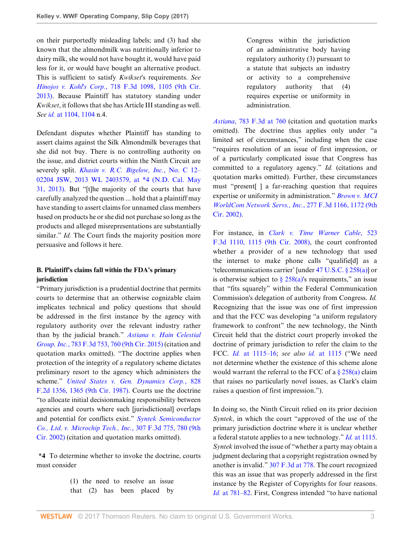on their purportedly misleading labels; and (3) had she known that the almondmilk was nutritionally inferior to dairy milk, she would not have bought it, would have paid less for it, or would have bought an alternative product. This is sufficient to satisfy *Kwikset*'s requirements. *See Hinojos v. Kohl's Corp.*[, 718 F.3d 1098, 1105 \(9th Cir.](http://www.westlaw.com/Link/Document/FullText?findType=Y&serNum=2030572114&pubNum=0000506&originatingDoc=Iaf87b0704b7d11e794a1f7ff5c621124&refType=RP&fi=co_pp_sp_506_1105&originationContext=document&vr=3.0&rs=cblt1.0&transitionType=DocumentItem&contextData=(sc.Search)#co_pp_sp_506_1105) [2013\)](http://www.westlaw.com/Link/Document/FullText?findType=Y&serNum=2030572114&pubNum=0000506&originatingDoc=Iaf87b0704b7d11e794a1f7ff5c621124&refType=RP&fi=co_pp_sp_506_1105&originationContext=document&vr=3.0&rs=cblt1.0&transitionType=DocumentItem&contextData=(sc.Search)#co_pp_sp_506_1105). Because Plaintiff has statutory standing under *Kwikset*, it follows that she has Article III standing as well. *See id.* [at 1104, 1104](http://www.westlaw.com/Link/Document/FullText?findType=Y&serNum=2030572114&pubNum=0000506&originatingDoc=Iaf87b0704b7d11e794a1f7ff5c621124&refType=RP&fi=co_pp_sp_506_1104&originationContext=document&vr=3.0&rs=cblt1.0&transitionType=DocumentItem&contextData=(sc.Search)#co_pp_sp_506_1104) n.4.

Defendant disputes whether Plaintiff has standing to assert claims against the Silk Almondmilk beverages that she did not buy. There is no controlling authority on the issue, and district courts within the Ninth Circuit are severely split. *[Khasin v. R.C. Bigelow, Inc.](http://www.westlaw.com/Link/Document/FullText?findType=Y&serNum=2030663171&pubNum=0000999&originatingDoc=Iaf87b0704b7d11e794a1f7ff5c621124&refType=RP&originationContext=document&vr=3.0&rs=cblt1.0&transitionType=DocumentItem&contextData=(sc.Search))*, No. C 12– [02204 JSW, 2013 WL 2403579, at \\*4 \(N.D. Cal. May](http://www.westlaw.com/Link/Document/FullText?findType=Y&serNum=2030663171&pubNum=0000999&originatingDoc=Iaf87b0704b7d11e794a1f7ff5c621124&refType=RP&originationContext=document&vr=3.0&rs=cblt1.0&transitionType=DocumentItem&contextData=(sc.Search)) [31, 2013\).](http://www.westlaw.com/Link/Document/FullText?findType=Y&serNum=2030663171&pubNum=0000999&originatingDoc=Iaf87b0704b7d11e794a1f7ff5c621124&refType=RP&originationContext=document&vr=3.0&rs=cblt1.0&transitionType=DocumentItem&contextData=(sc.Search)) But "[t]he majority of the courts that have carefully analyzed the question ... hold that a plaintiff may have standing to assert claims for unnamed class members based on products he or she did not purchase so long as the products and alleged misrepresentations are substantially similar." *Id.* The Court finds the majority position more persuasive and follows it here.

## **B. Plaintiff's claims fall within the FDA's primary jurisdiction**

"Primary jurisdiction is a prudential doctrine that permits courts to determine that an otherwise cognizable claim implicates technical and policy questions that should be addressed in the first instance by the agency with regulatory authority over the relevant industry rather than by the judicial branch." *[Astiana v. Hain Celestial](http://www.westlaw.com/Link/Document/FullText?findType=Y&serNum=2035787618&pubNum=0000506&originatingDoc=Iaf87b0704b7d11e794a1f7ff5c621124&refType=RP&fi=co_pp_sp_506_760&originationContext=document&vr=3.0&rs=cblt1.0&transitionType=DocumentItem&contextData=(sc.Search)#co_pp_sp_506_760) Group, Inc.*[, 783 F.3d 753, 760 \(9th Cir. 2015\)](http://www.westlaw.com/Link/Document/FullText?findType=Y&serNum=2035787618&pubNum=0000506&originatingDoc=Iaf87b0704b7d11e794a1f7ff5c621124&refType=RP&fi=co_pp_sp_506_760&originationContext=document&vr=3.0&rs=cblt1.0&transitionType=DocumentItem&contextData=(sc.Search)#co_pp_sp_506_760) (citation and quotation marks omitted). "The doctrine applies when protection of the integrity of a regulatory scheme dictates preliminary resort to the agency which administers the scheme." *[United States v. Gen. Dynamics Corp.](http://www.westlaw.com/Link/Document/FullText?findType=Y&serNum=1987117674&pubNum=0000350&originatingDoc=Iaf87b0704b7d11e794a1f7ff5c621124&refType=RP&fi=co_pp_sp_350_1365&originationContext=document&vr=3.0&rs=cblt1.0&transitionType=DocumentItem&contextData=(sc.Search)#co_pp_sp_350_1365)*, 828 [F.2d 1356, 1365 \(9th Cir. 1987\).](http://www.westlaw.com/Link/Document/FullText?findType=Y&serNum=1987117674&pubNum=0000350&originatingDoc=Iaf87b0704b7d11e794a1f7ff5c621124&refType=RP&fi=co_pp_sp_350_1365&originationContext=document&vr=3.0&rs=cblt1.0&transitionType=DocumentItem&contextData=(sc.Search)#co_pp_sp_350_1365) Courts use the doctrine "to allocate initial decisionmaking responsibility between agencies and courts where such [jurisdictional] overlaps and potential for conflicts exist." *[Syntek Semiconductor](http://www.westlaw.com/Link/Document/FullText?findType=Y&serNum=2002624075&pubNum=0000506&originatingDoc=Iaf87b0704b7d11e794a1f7ff5c621124&refType=RP&fi=co_pp_sp_506_780&originationContext=document&vr=3.0&rs=cblt1.0&transitionType=DocumentItem&contextData=(sc.Search)#co_pp_sp_506_780) [Co., Ltd. v. Microchip Tech., Inc.](http://www.westlaw.com/Link/Document/FullText?findType=Y&serNum=2002624075&pubNum=0000506&originatingDoc=Iaf87b0704b7d11e794a1f7ff5c621124&refType=RP&fi=co_pp_sp_506_780&originationContext=document&vr=3.0&rs=cblt1.0&transitionType=DocumentItem&contextData=(sc.Search)#co_pp_sp_506_780)*, 307 F.3d 775, 780 (9th [Cir. 2002\)](http://www.westlaw.com/Link/Document/FullText?findType=Y&serNum=2002624075&pubNum=0000506&originatingDoc=Iaf87b0704b7d11e794a1f7ff5c621124&refType=RP&fi=co_pp_sp_506_780&originationContext=document&vr=3.0&rs=cblt1.0&transitionType=DocumentItem&contextData=(sc.Search)#co_pp_sp_506_780) (citation and quotation marks omitted).

**\*4** To determine whether to invoke the doctrine, courts must consider

> (1) the need to resolve an issue that (2) has been placed by

Congress within the jurisdiction of an administrative body having regulatory authority (3) pursuant to a statute that subjects an industry or activity to a comprehensive regulatory authority that (4) requires expertise or uniformity in administration.

*Astiana*[, 783 F.3d at 760](http://www.westlaw.com/Link/Document/FullText?findType=Y&serNum=2035787618&pubNum=0000506&originatingDoc=Iaf87b0704b7d11e794a1f7ff5c621124&refType=RP&fi=co_pp_sp_506_760&originationContext=document&vr=3.0&rs=cblt1.0&transitionType=DocumentItem&contextData=(sc.Search)#co_pp_sp_506_760) (citation and quotation marks omitted). The doctrine thus applies only under "a limited set of circumstances," including when the case "requires resolution of an issue of first impression, or of a particularly complicated issue that Congress has committed to a regulatory agency." *Id.* (citations and quotation marks omitted). Further, these circumstances must "present[ ] a far-reaching question that requires expertise or uniformity in administration." *[Brown v. MCI](http://www.westlaw.com/Link/Document/FullText?findType=Y&serNum=2002074357&pubNum=0000506&originatingDoc=Iaf87b0704b7d11e794a1f7ff5c621124&refType=RP&fi=co_pp_sp_506_1172&originationContext=document&vr=3.0&rs=cblt1.0&transitionType=DocumentItem&contextData=(sc.Search)#co_pp_sp_506_1172) [WorldCom Network Servs., Inc.](http://www.westlaw.com/Link/Document/FullText?findType=Y&serNum=2002074357&pubNum=0000506&originatingDoc=Iaf87b0704b7d11e794a1f7ff5c621124&refType=RP&fi=co_pp_sp_506_1172&originationContext=document&vr=3.0&rs=cblt1.0&transitionType=DocumentItem&contextData=(sc.Search)#co_pp_sp_506_1172)*, 277 F.3d 1166, 1172 (9th [Cir. 2002\)](http://www.westlaw.com/Link/Document/FullText?findType=Y&serNum=2002074357&pubNum=0000506&originatingDoc=Iaf87b0704b7d11e794a1f7ff5c621124&refType=RP&fi=co_pp_sp_506_1172&originationContext=document&vr=3.0&rs=cblt1.0&transitionType=DocumentItem&contextData=(sc.Search)#co_pp_sp_506_1172).

For instance, in *[Clark v. Time Warner Cable](http://www.westlaw.com/Link/Document/FullText?findType=Y&serNum=2015911395&pubNum=0000506&originatingDoc=Iaf87b0704b7d11e794a1f7ff5c621124&refType=RP&fi=co_pp_sp_506_1115&originationContext=document&vr=3.0&rs=cblt1.0&transitionType=DocumentItem&contextData=(sc.Search)#co_pp_sp_506_1115)*, 523 [F.3d 1110, 1115 \(9th Cir. 2008\)](http://www.westlaw.com/Link/Document/FullText?findType=Y&serNum=2015911395&pubNum=0000506&originatingDoc=Iaf87b0704b7d11e794a1f7ff5c621124&refType=RP&fi=co_pp_sp_506_1115&originationContext=document&vr=3.0&rs=cblt1.0&transitionType=DocumentItem&contextData=(sc.Search)#co_pp_sp_506_1115), the court confronted whether a provider of a new technology that used the internet to make phone calls "qualifie[d] as a 'telecommunications carrier' [under [47 U.S.C. § 258\(a\)\]](http://www.westlaw.com/Link/Document/FullText?findType=L&pubNum=1000546&cite=47USCAS258&originatingDoc=Iaf87b0704b7d11e794a1f7ff5c621124&refType=SP&originationContext=document&vr=3.0&rs=cblt1.0&transitionType=DocumentItem&contextData=(sc.Search)#co_pp_8b3b0000958a4) or is otherwise subject to  $\S 258(a)$ 's requirements," an issue that "fits squarely" within the Federal Communication Commission's delegation of authority from Congress. *Id.* Recognizing that the issue was one of first impression and that the FCC was developing "a uniform regulatory framework to confront" the new technology, the Ninth Circuit held that the district court properly invoked the doctrine of primary jurisdiction to refer the claim to the FCC. *Id.* [at 1115–16](http://www.westlaw.com/Link/Document/FullText?findType=Y&serNum=2015911395&pubNum=0000506&originatingDoc=Iaf87b0704b7d11e794a1f7ff5c621124&refType=RP&fi=co_pp_sp_506_1115&originationContext=document&vr=3.0&rs=cblt1.0&transitionType=DocumentItem&contextData=(sc.Search)#co_pp_sp_506_1115); *see also id.* [at 1115](http://www.westlaw.com/Link/Document/FullText?findType=Y&serNum=2015911395&pubNum=0000506&originatingDoc=Iaf87b0704b7d11e794a1f7ff5c621124&refType=RP&fi=co_pp_sp_506_1115&originationContext=document&vr=3.0&rs=cblt1.0&transitionType=DocumentItem&contextData=(sc.Search)#co_pp_sp_506_1115) ("We need not determine whether the existence of this scheme alone would warrant the referral to the FCC of a  $\S 258(a)$  claim that raises no particularly novel issues, as Clark's claim raises a question of first impression.").

In doing so, the Ninth Circuit relied on its prior decision *Syntek*, in which the court "approved of the use of the primary jurisdiction doctrine where it is unclear whether a federal statute applies to a new technology." *Id.* [at 1115](http://www.westlaw.com/Link/Document/FullText?findType=Y&serNum=2015911395&pubNum=0000506&originatingDoc=Iaf87b0704b7d11e794a1f7ff5c621124&refType=RP&fi=co_pp_sp_506_1115&originationContext=document&vr=3.0&rs=cblt1.0&transitionType=DocumentItem&contextData=(sc.Search)#co_pp_sp_506_1115). *Syntek* involved the issue of "whether a party may obtain a judgment declaring that a copyright registration owned by another is invalid." [307 F.3d at 778.](http://www.westlaw.com/Link/Document/FullText?findType=Y&serNum=2002624075&pubNum=0000506&originatingDoc=Iaf87b0704b7d11e794a1f7ff5c621124&refType=RP&fi=co_pp_sp_506_778&originationContext=document&vr=3.0&rs=cblt1.0&transitionType=DocumentItem&contextData=(sc.Search)#co_pp_sp_506_778) The court recognized this was an issue that was properly addressed in the first instance by the Register of Copyrights for four reasons. *Id.* [at 781–82](http://www.westlaw.com/Link/Document/FullText?findType=Y&serNum=2002624075&pubNum=0000506&originatingDoc=Iaf87b0704b7d11e794a1f7ff5c621124&refType=RP&fi=co_pp_sp_506_781&originationContext=document&vr=3.0&rs=cblt1.0&transitionType=DocumentItem&contextData=(sc.Search)#co_pp_sp_506_781). First, Congress intended "to have national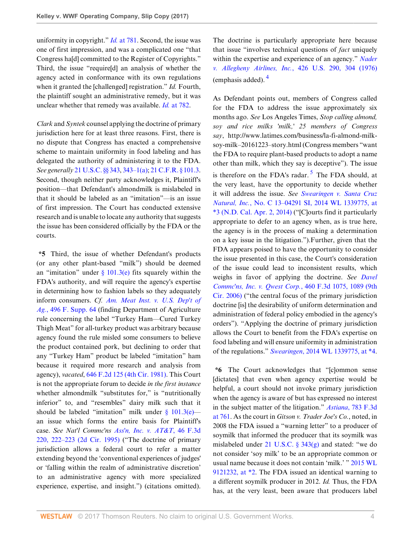uniformity in copyright." *Id.* [at 781](http://www.westlaw.com/Link/Document/FullText?findType=Y&serNum=2002624075&pubNum=0000506&originatingDoc=Iaf87b0704b7d11e794a1f7ff5c621124&refType=RP&fi=co_pp_sp_506_781&originationContext=document&vr=3.0&rs=cblt1.0&transitionType=DocumentItem&contextData=(sc.Search)#co_pp_sp_506_781). Second, the issue was one of first impression, and was a complicated one "that Congress ha[d] committed to the Register of Copyrights." Third, the issue "require[d] an analysis of whether the agency acted in conformance with its own regulations when it granted the [challenged] registration." *Id.* Fourth, the plaintiff sought an administrative remedy, but it was unclear whether that remedy was available. *Id.* [at 782.](http://www.westlaw.com/Link/Document/FullText?findType=Y&serNum=2002624075&pubNum=0000506&originatingDoc=Iaf87b0704b7d11e794a1f7ff5c621124&refType=RP&fi=co_pp_sp_506_782&originationContext=document&vr=3.0&rs=cblt1.0&transitionType=DocumentItem&contextData=(sc.Search)#co_pp_sp_506_782)

*Clark* and *Syntek* counsel applying the doctrine of primary jurisdiction here for at least three reasons. First, there is no dispute that Congress has enacted a comprehensive scheme to maintain uniformity in food labeling and has delegated the authority of administering it to the FDA. *See generally* [21 U.S.C. §§ 343](http://www.westlaw.com/Link/Document/FullText?findType=L&pubNum=1000546&cite=21USCAS343&originatingDoc=Iaf87b0704b7d11e794a1f7ff5c621124&refType=LQ&originationContext=document&vr=3.0&rs=cblt1.0&transitionType=DocumentItem&contextData=(sc.Search)), [343–1\(a\)](http://www.westlaw.com/Link/Document/FullText?findType=L&pubNum=1000546&cite=21USCAS343-1&originatingDoc=Iaf87b0704b7d11e794a1f7ff5c621124&refType=SP&originationContext=document&vr=3.0&rs=cblt1.0&transitionType=DocumentItem&contextData=(sc.Search)#co_pp_8b3b0000958a4); [21 C.F.R. § 101.3](http://www.westlaw.com/Link/Document/FullText?findType=L&pubNum=1000547&cite=21CFRS101.3&originatingDoc=Iaf87b0704b7d11e794a1f7ff5c621124&refType=LQ&originationContext=document&vr=3.0&rs=cblt1.0&transitionType=DocumentItem&contextData=(sc.Search)). Second, though neither party acknowledges it, Plaintiff's position—that Defendant's almondmilk is mislabeled in that it should be labeled as an "imitation"—is an issue of first impression. The Court has conducted extensive research and is unable to locate any authority that suggests the issue has been considered officially by the FDA or the courts.

**\*5** Third, the issue of whether Defendant's products (or any other plant-based "milk") should be deemed an "imitation" under  $\S$  101.3(e) fits squarely within the FDA's authority, and will require the agency's expertise in determining how to fashion labels so they adequately inform consumers. *Cf. [Am. Meat Inst. v. U.S. Dep't of](http://www.westlaw.com/Link/Document/FullText?findType=Y&serNum=1980135201&pubNum=0000345&originatingDoc=Iaf87b0704b7d11e794a1f7ff5c621124&refType=RP&originationContext=document&vr=3.0&rs=cblt1.0&transitionType=DocumentItem&contextData=(sc.Search)) Ag.*[, 496 F. Supp. 64](http://www.westlaw.com/Link/Document/FullText?findType=Y&serNum=1980135201&pubNum=0000345&originatingDoc=Iaf87b0704b7d11e794a1f7ff5c621124&refType=RP&originationContext=document&vr=3.0&rs=cblt1.0&transitionType=DocumentItem&contextData=(sc.Search)) (finding Department of Agriculture rule concerning the label "Turkey Ham—Cured Turkey Thigh Meat" for all-turkey product was arbitrary because agency found the rule misled some consumers to believe the product contained pork, but declining to order that any "Turkey Ham" product be labeled "imitation" ham because it required more research and analysis from agency), *vacated*, [646 F.2d 125 \(4th Cir. 1981\).](http://www.westlaw.com/Link/Document/FullText?findType=Y&serNum=1981116357&pubNum=0000350&originatingDoc=Iaf87b0704b7d11e794a1f7ff5c621124&refType=RP&originationContext=document&vr=3.0&rs=cblt1.0&transitionType=DocumentItem&contextData=(sc.Search)) This Court is not the appropriate forum to decide *in the first instance* whether almondmilk "substitutes for," is "nutritionally inferior" to, and "resembles" dairy milk such that it should be labeled "imitation" milk under  $\S$  101.3(e) an issue which forms the entire basis for Plaintiff's case. *See Nat'l Commc'ns [Ass'n, Inc. v. AT&T](http://www.westlaw.com/Link/Document/FullText?findType=Y&serNum=1995039834&pubNum=0000506&originatingDoc=Iaf87b0704b7d11e794a1f7ff5c621124&refType=RP&fi=co_pp_sp_506_222&originationContext=document&vr=3.0&rs=cblt1.0&transitionType=DocumentItem&contextData=(sc.Search)#co_pp_sp_506_222)*, 46 F.3d [220, 222–223 \(2d Cir. 1995\)](http://www.westlaw.com/Link/Document/FullText?findType=Y&serNum=1995039834&pubNum=0000506&originatingDoc=Iaf87b0704b7d11e794a1f7ff5c621124&refType=RP&fi=co_pp_sp_506_222&originationContext=document&vr=3.0&rs=cblt1.0&transitionType=DocumentItem&contextData=(sc.Search)#co_pp_sp_506_222) ("The doctrine of primary jurisdiction allows a federal court to refer a matter extending beyond the 'conventional experiences of judges' or 'falling within the realm of administrative discretion' to an administrative agency with more specialized experience, expertise, and insight.") (citations omitted).

The doctrine is particularly appropriate here because that issue "involves technical questions of *fact* uniquely within the expertise and experience of an agency." *[Nader](http://www.westlaw.com/Link/Document/FullText?findType=Y&serNum=1976142387&pubNum=0000780&originatingDoc=Iaf87b0704b7d11e794a1f7ff5c621124&refType=RP&fi=co_pp_sp_780_304&originationContext=document&vr=3.0&rs=cblt1.0&transitionType=DocumentItem&contextData=(sc.Search)#co_pp_sp_780_304) v. Allegheny Airlines, Inc.*[, 426 U.S. 290, 304 \(1976\)](http://www.westlaw.com/Link/Document/FullText?findType=Y&serNum=1976142387&pubNum=0000780&originatingDoc=Iaf87b0704b7d11e794a1f7ff5c621124&refType=RP&fi=co_pp_sp_780_304&originationContext=document&vr=3.0&rs=cblt1.0&transitionType=DocumentItem&contextData=(sc.Search)#co_pp_sp_780_304) (emphasis added). [4](#page-5-3)

<span id="page-3-1"></span><span id="page-3-0"></span>As Defendant points out, members of Congress called for the FDA to address the issue approximately six months ago. *See* Los Angeles Times, *Stop calling almond, soy and rice milks 'milk,' 25 members of Congress say*, http://www.latimes.com/business/la-fi-almond-milksoy-milk–20161223–story.html (Congress members "want the FDA to require plant-based products to adopt a name other than milk, which they say is deceptive"). The issue is therefore on the FDA's radar.<sup>[5](#page-5-4)</sup> The FDA should, at the very least, have the opportunity to decide whether it will address the issue. *See [Swearingen v. Santa Cruz](http://www.westlaw.com/Link/Document/FullText?findType=Y&serNum=2033092337&pubNum=0000999&originatingDoc=Iaf87b0704b7d11e794a1f7ff5c621124&refType=RP&originationContext=document&vr=3.0&rs=cblt1.0&transitionType=DocumentItem&contextData=(sc.Search)) Natural, Inc.*[, No. C 13–04291 SI, 2014 WL 1339775, at](http://www.westlaw.com/Link/Document/FullText?findType=Y&serNum=2033092337&pubNum=0000999&originatingDoc=Iaf87b0704b7d11e794a1f7ff5c621124&refType=RP&originationContext=document&vr=3.0&rs=cblt1.0&transitionType=DocumentItem&contextData=(sc.Search)) [\\*3 \(N.D. Cal. Apr. 2, 2014\)](http://www.westlaw.com/Link/Document/FullText?findType=Y&serNum=2033092337&pubNum=0000999&originatingDoc=Iaf87b0704b7d11e794a1f7ff5c621124&refType=RP&originationContext=document&vr=3.0&rs=cblt1.0&transitionType=DocumentItem&contextData=(sc.Search)) ("[C]ourts find it particularly appropriate to defer to an agency when, as is true here, the agency is in the process of making a determination on a key issue in the litigation.").Further, given that the FDA appears poised to have the opportunity to consider the issue presented in this case, the Court's consideration of the issue could lead to inconsistent results, which weighs in favor of applying the doctrine. *See [Davel](http://www.westlaw.com/Link/Document/FullText?findType=Y&serNum=2009742904&pubNum=0000506&originatingDoc=Iaf87b0704b7d11e794a1f7ff5c621124&refType=RP&fi=co_pp_sp_506_1089&originationContext=document&vr=3.0&rs=cblt1.0&transitionType=DocumentItem&contextData=(sc.Search)#co_pp_sp_506_1089) [Commc'ns, Inc. v. Qwest Corp.](http://www.westlaw.com/Link/Document/FullText?findType=Y&serNum=2009742904&pubNum=0000506&originatingDoc=Iaf87b0704b7d11e794a1f7ff5c621124&refType=RP&fi=co_pp_sp_506_1089&originationContext=document&vr=3.0&rs=cblt1.0&transitionType=DocumentItem&contextData=(sc.Search)#co_pp_sp_506_1089)*, 460 F.3d 1075, 1089 (9th [Cir. 2006\)](http://www.westlaw.com/Link/Document/FullText?findType=Y&serNum=2009742904&pubNum=0000506&originatingDoc=Iaf87b0704b7d11e794a1f7ff5c621124&refType=RP&fi=co_pp_sp_506_1089&originationContext=document&vr=3.0&rs=cblt1.0&transitionType=DocumentItem&contextData=(sc.Search)#co_pp_sp_506_1089) ("the central focus of the primary jurisdiction doctrine [is] the desirability of uniform determination and administration of federal policy embodied in the agency's orders"). "Applying the doctrine of primary jurisdiction allows the Court to benefit from the FDA's expertise on food labeling and will ensure uniformity in administration of the regulations." *Swearingen*[, 2014 WL 1339775, at \\*4](http://www.westlaw.com/Link/Document/FullText?findType=Y&serNum=2033092337&pubNum=0000999&originatingDoc=Iaf87b0704b7d11e794a1f7ff5c621124&refType=RP&originationContext=document&vr=3.0&rs=cblt1.0&transitionType=DocumentItem&contextData=(sc.Search)).

**\*6** The Court acknowledges that "[c]ommon sense [dictates] that even when agency expertise would be helpful, a court should not invoke primary jurisdiction when the agency is aware of but has expressed no interest in the subject matter of the litigation." *Astiana*[, 783 F.3d](http://www.westlaw.com/Link/Document/FullText?findType=Y&serNum=2035787618&pubNum=0000506&originatingDoc=Iaf87b0704b7d11e794a1f7ff5c621124&refType=RP&fi=co_pp_sp_506_761&originationContext=document&vr=3.0&rs=cblt1.0&transitionType=DocumentItem&contextData=(sc.Search)#co_pp_sp_506_761) [at 761](http://www.westlaw.com/Link/Document/FullText?findType=Y&serNum=2035787618&pubNum=0000506&originatingDoc=Iaf87b0704b7d11e794a1f7ff5c621124&refType=RP&fi=co_pp_sp_506_761&originationContext=document&vr=3.0&rs=cblt1.0&transitionType=DocumentItem&contextData=(sc.Search)#co_pp_sp_506_761). As the court in *Gitson v. Trader Joe's Co.*, noted, in 2008 the FDA issued a "warning letter" to a producer of soymilk that informed the producer that its soymilk was mislabeled under [21 U.S.C. § 343\(g\)](http://www.westlaw.com/Link/Document/FullText?findType=L&pubNum=1000546&cite=21USCAS343&originatingDoc=Iaf87b0704b7d11e794a1f7ff5c621124&refType=SP&originationContext=document&vr=3.0&rs=cblt1.0&transitionType=DocumentItem&contextData=(sc.Search)#co_pp_16f4000091d86) and stated: "we do not consider 'soy milk' to be an appropriate common or usual name because it does not contain 'milk.' " [2015 WL](http://www.westlaw.com/Link/Document/FullText?findType=Y&serNum=2037826843&pubNum=0000999&originatingDoc=Iaf87b0704b7d11e794a1f7ff5c621124&refType=RP&originationContext=document&vr=3.0&rs=cblt1.0&transitionType=DocumentItem&contextData=(sc.Search)) [9121232, at \\*2](http://www.westlaw.com/Link/Document/FullText?findType=Y&serNum=2037826843&pubNum=0000999&originatingDoc=Iaf87b0704b7d11e794a1f7ff5c621124&refType=RP&originationContext=document&vr=3.0&rs=cblt1.0&transitionType=DocumentItem&contextData=(sc.Search)). The FDA issued an identical warning to a different soymilk producer in 2012. *Id.* Thus, the FDA has, at the very least, been aware that producers label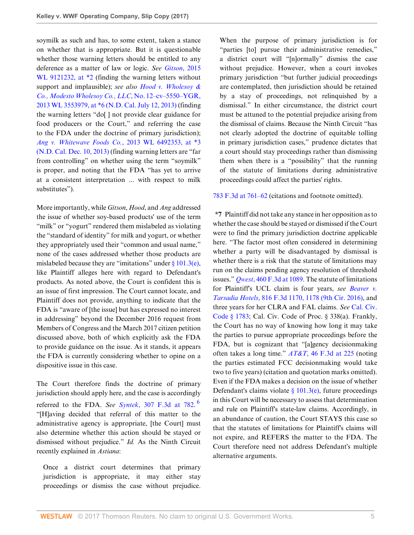soymilk as such and has, to some extent, taken a stance on whether that is appropriate. But it is questionable whether those warning letters should be entitled to any deference as a matter of law or logic. *See [Gitson](http://www.westlaw.com/Link/Document/FullText?findType=Y&serNum=2037826843&pubNum=0000999&originatingDoc=Iaf87b0704b7d11e794a1f7ff5c621124&refType=RP&originationContext=document&vr=3.0&rs=cblt1.0&transitionType=DocumentItem&contextData=(sc.Search))*, 2015 WL 9121232, at  $*2$  (finding the warning letters without support and implausible); *see also [Hood v. Wholesoy &](http://www.westlaw.com/Link/Document/FullText?findType=Y&serNum=2030989629&pubNum=0000999&originatingDoc=Iaf87b0704b7d11e794a1f7ff5c621124&refType=RP&originationContext=document&vr=3.0&rs=cblt1.0&transitionType=DocumentItem&contextData=(sc.Search)) [Co., Modesto Wholesoy Co., LLC](http://www.westlaw.com/Link/Document/FullText?findType=Y&serNum=2030989629&pubNum=0000999&originatingDoc=Iaf87b0704b7d11e794a1f7ff5c621124&refType=RP&originationContext=document&vr=3.0&rs=cblt1.0&transitionType=DocumentItem&contextData=(sc.Search))*, No. 12–cv–5550–YGR, [2013 WL 3553979, at \\*6 \(N.D. Cal. July 12, 2013\)](http://www.westlaw.com/Link/Document/FullText?findType=Y&serNum=2030989629&pubNum=0000999&originatingDoc=Iaf87b0704b7d11e794a1f7ff5c621124&refType=RP&originationContext=document&vr=3.0&rs=cblt1.0&transitionType=DocumentItem&contextData=(sc.Search)) (finding the warning letters "do[ ] not provide clear guidance for food producers or the Court," and referring the case to the FDA under the doctrine of primary jurisdiction); *[Ang v. Whitewave Foods Co.](http://www.westlaw.com/Link/Document/FullText?findType=Y&serNum=2032273781&pubNum=0000999&originatingDoc=Iaf87b0704b7d11e794a1f7ff5c621124&refType=RP&originationContext=document&vr=3.0&rs=cblt1.0&transitionType=DocumentItem&contextData=(sc.Search))*, 2013 WL 6492353, at \*3 [\(N.D. Cal. Dec. 10, 2013\)](http://www.westlaw.com/Link/Document/FullText?findType=Y&serNum=2032273781&pubNum=0000999&originatingDoc=Iaf87b0704b7d11e794a1f7ff5c621124&refType=RP&originationContext=document&vr=3.0&rs=cblt1.0&transitionType=DocumentItem&contextData=(sc.Search)) (finding warning letters are "far from controlling" on whether using the term "soymilk" is proper, and noting that the FDA "has yet to arrive at a consistent interpretation ... with respect to milk substitutes").

More importantly, while *Gitson*, *Hood*, and *Ang* addressed the issue of whether soy-based products' use of the term "milk" or "yogurt" rendered them mislabeled as violating the "standard of identity" for milk and yogurt, or whether they appropriately used their "common and usual name," none of the cases addressed whether those products are mislabeled because they are "imitations" under  $\S 101.3(e)$ , like Plaintiff alleges here with regard to Defendant's products. As noted above, the Court is confident this is an issue of first impression. The Court cannot locate, and Plaintiff does not provide, anything to indicate that the FDA is "aware of [the issue] but has expressed no interest in addressing" beyond the December 2016 request from Members of Congress and the March 2017 citizen petition discussed above, both of which explicitly ask the FDA to provide guidance on the issue. As it stands, it appears the FDA is currently considering whether to opine on a dispositive issue in this case.

<span id="page-4-0"></span>The Court therefore finds the doctrine of primary jurisdiction should apply here, and the case is accordingly referred to the FDA. *See Syntek*[, 307 F.3d at 782.](http://www.westlaw.com/Link/Document/FullText?findType=Y&serNum=2002624075&pubNum=0000506&originatingDoc=Iaf87b0704b7d11e794a1f7ff5c621124&refType=RP&fi=co_pp_sp_506_782&originationContext=document&vr=3.0&rs=cblt1.0&transitionType=DocumentItem&contextData=(sc.Search)#co_pp_sp_506_782) [6](#page-5-5) "[H]aving decided that referral of this matter to the administrative agency is appropriate, [the Court] must also determine whether this action should be stayed or dismissed without prejudice." *Id.* As the Ninth Circuit recently explained in *Astiana*:

Once a district court determines that primary jurisdiction is appropriate, it may either stay proceedings or dismiss the case without prejudice. When the purpose of primary jurisdiction is for "parties [to] pursue their administrative remedies," a district court will "[n]ormally" dismiss the case without prejudice. However, when a court invokes primary jurisdiction "but further judicial proceedings are contemplated, then jurisdiction should be retained by a stay of proceedings, not relinquished by a dismissal." In either circumstance, the district court must be attuned to the potential prejudice arising from the dismissal of claims. Because the Ninth Circuit "has not clearly adopted the doctrine of equitable tolling in primary jurisdiction cases," prudence dictates that a court should stay proceedings rather than dismissing them when there is a "possibility" that the running of the statute of limitations during administrative proceedings could affect the parties' rights.

[783 F.3d at 761–62](http://www.westlaw.com/Link/Document/FullText?findType=Y&serNum=2035787618&pubNum=0000506&originatingDoc=Iaf87b0704b7d11e794a1f7ff5c621124&refType=RP&fi=co_pp_sp_506_761&originationContext=document&vr=3.0&rs=cblt1.0&transitionType=DocumentItem&contextData=(sc.Search)#co_pp_sp_506_761) (citations and footnote omitted).

**\*7** Plaintiff did not take any stance in her opposition as to whether the case should be stayed or dismissed if the Court were to find the primary jurisdiction doctrine applicable here. "The factor most often considered in determining whether a party will be disadvantaged by dismissal is whether there is a risk that the statute of limitations may run on the claims pending agency resolution of threshold issues." *Qwest*[, 460 F.3d at 1089](http://www.westlaw.com/Link/Document/FullText?findType=Y&serNum=2009742904&pubNum=0000506&originatingDoc=Iaf87b0704b7d11e794a1f7ff5c621124&refType=RP&fi=co_pp_sp_506_1089&originationContext=document&vr=3.0&rs=cblt1.0&transitionType=DocumentItem&contextData=(sc.Search)#co_pp_sp_506_1089). The statute of limitations for Plaintiff's UCL claim is four years, *see [Beaver v.](http://www.westlaw.com/Link/Document/FullText?findType=Y&serNum=2038438742&pubNum=0000506&originatingDoc=Iaf87b0704b7d11e794a1f7ff5c621124&refType=RP&fi=co_pp_sp_506_1178&originationContext=document&vr=3.0&rs=cblt1.0&transitionType=DocumentItem&contextData=(sc.Search)#co_pp_sp_506_1178) Tarsadia Hotels*[, 816 F.3d 1170, 1178 \(9th Cir. 2016\),](http://www.westlaw.com/Link/Document/FullText?findType=Y&serNum=2038438742&pubNum=0000506&originatingDoc=Iaf87b0704b7d11e794a1f7ff5c621124&refType=RP&fi=co_pp_sp_506_1178&originationContext=document&vr=3.0&rs=cblt1.0&transitionType=DocumentItem&contextData=(sc.Search)#co_pp_sp_506_1178) and three years for her CLRA and FAL claims. *See* [Cal. Civ.](http://www.westlaw.com/Link/Document/FullText?findType=L&pubNum=1000200&cite=CACIS1783&originatingDoc=Iaf87b0704b7d11e794a1f7ff5c621124&refType=LQ&originationContext=document&vr=3.0&rs=cblt1.0&transitionType=DocumentItem&contextData=(sc.Search)) [Code § 1783](http://www.westlaw.com/Link/Document/FullText?findType=L&pubNum=1000200&cite=CACIS1783&originatingDoc=Iaf87b0704b7d11e794a1f7ff5c621124&refType=LQ&originationContext=document&vr=3.0&rs=cblt1.0&transitionType=DocumentItem&contextData=(sc.Search)); Cal. Civ. Code of Proc. § 338(a). Frankly, the Court has no way of knowing how long it may take the parties to pursue appropriate proceedings before the FDA, but is cognizant that "[a]gency decisionmaking often takes a long time." *AT&T*[, 46 F.3d at 225](http://www.westlaw.com/Link/Document/FullText?findType=Y&serNum=1995039834&pubNum=0000506&originatingDoc=Iaf87b0704b7d11e794a1f7ff5c621124&refType=RP&fi=co_pp_sp_506_225&originationContext=document&vr=3.0&rs=cblt1.0&transitionType=DocumentItem&contextData=(sc.Search)#co_pp_sp_506_225) (noting the parties estimated FCC decisionmaking would take two to five years) (citation and quotation marks omitted). Even if the FDA makes a decision on the issue of whether Defendant's claims violate  $\S$  101.3(e), future proceedings in this Court will be necessary to assess that determination and rule on Plaintiff's state-law claims. Accordingly, in an abundance of caution, the Court STAYS this case so that the statutes of limitations for Plaintiff's claims will not expire, and REFERS the matter to the FDA. The Court therefore need not address Defendant's multiple alternative arguments.